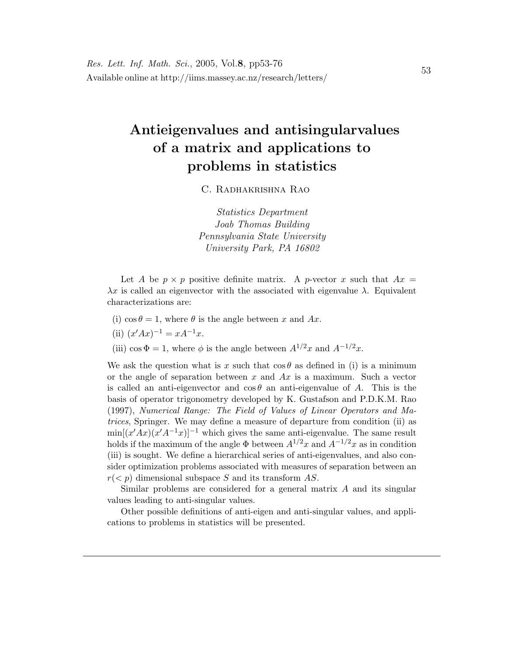# Antieigenvalues and antisingularvalues of a matrix and applications to problems in statistics

C. Radhakrishna Rao

Statistics Department Joab Thomas Building Pennsylvania State University University Park, PA 16802

Let A be  $p \times p$  positive definite matrix. A p-vector x such that  $Ax =$  $\lambda x$  is called an eigenvector with the associated with eigenvalue  $\lambda$ . Equivalent characterizations are:

- (i)  $\cos \theta = 1$ , where  $\theta$  is the angle between x and Ax.
- (ii)  $(x'Ax)^{-1} = xA^{-1}x$ .
- (iii) cos  $\Phi = 1$ , where  $\phi$  is the angle between  $A^{1/2}x$  and  $A^{-1/2}x$ .

We ask the question what is x such that  $\cos \theta$  as defined in (i) is a minimum or the angle of separation between x and  $Ax$  is a maximum. Such a vector is called an anti-eigenvector and  $\cos \theta$  an anti-eigenvalue of A. This is the basis of operator trigonometry developed by K. Gustafson and P.D.K.M. Rao (1997), Numerical Range: The Field of Values of Linear Operators and Matrices, Springer. We may define a measure of departure from condition (ii) as  $\min[(x'Ax)(x'A^{-1}x)]^{-1}$  which gives the same anti-eigenvalue. The same result holds if the maximum of the angle  $\Phi$  between  $A^{1/2}x$  and  $A^{-1/2}x$  as in condition (iii) is sought. We define a hierarchical series of anti-eigenvalues, and also consider optimization problems associated with measures of separation between an  $r(< p)$  dimensional subspace S and its transform AS.

Similar problems are considered for a general matrix  $A$  and its singular values leading to anti-singular values.

Other possible definitions of anti-eigen and anti-singular values, and applications to problems in statistics will be presented.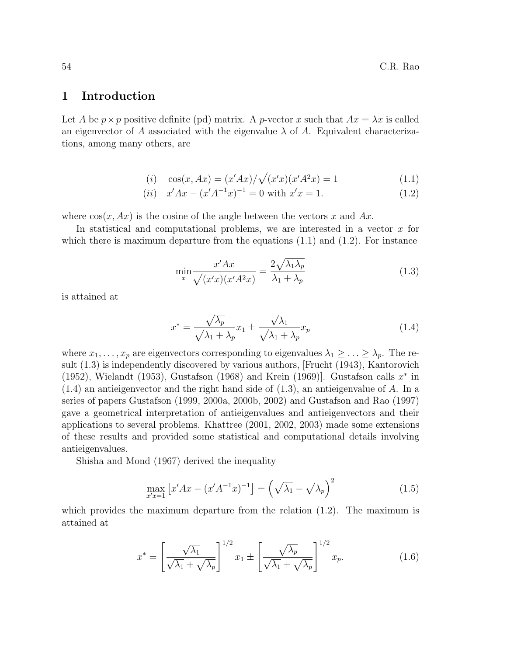### 1 Introduction

Let A be  $p \times p$  positive definite (pd) matrix. A p-vector x such that  $Ax = \lambda x$  is called an eigenvector of A associated with the eigenvalue  $\lambda$  of A. Equivalent characterizations, among many others, are

(i) 
$$
\cos(x, Ax) = (x'Ax) / \sqrt{(x'x)(x'A^2x)} = 1
$$
 (1.1)

(*ii*) 
$$
x'Ax - (x'A^{-1}x)^{-1} = 0
$$
 with  $x'x = 1$ . (1.2)

where  $\cos(x, Ax)$  is the cosine of the angle between the vectors x and Ax.

In statistical and computational problems, we are interested in a vector x for which there is maximum departure from the equations  $(1.1)$  and  $(1.2)$ . For instance

$$
\min_{x} \frac{x'Ax}{\sqrt{(x'x)(x'A^2x)}} = \frac{2\sqrt{\lambda_1\lambda_p}}{\lambda_1 + \lambda_p} \tag{1.3}
$$

is attained at

$$
x^* = \frac{\sqrt{\lambda_p}}{\sqrt{\lambda_1 + \lambda_p}} x_1 \pm \frac{\sqrt{\lambda_1}}{\sqrt{\lambda_1 + \lambda_p}} x_p \tag{1.4}
$$

where  $x_1, \ldots, x_p$  are eigenvectors corresponding to eigenvalues  $\lambda_1 \geq \ldots \geq \lambda_p$ . The result (1.3) is independently discovered by various authors, [Frucht (1943), Kantorovich (1952), Wielandt (1953), Gustafson (1968) and Krein (1969)]. Gustafson calls  $x^*$  in  $(1.4)$  an antieigenvector and the right hand side of  $(1.3)$ , an antieigenvalue of A. In a series of papers Gustafson (1999, 2000a, 2000b, 2002) and Gustafson and Rao (1997) gave a geometrical interpretation of antieigenvalues and antieigenvectors and their applications to several problems. Khattree (2001, 2002, 2003) made some extensions of these results and provided some statistical and computational details involving antieigenvalues.

Shisha and Mond (1967) derived the inequality

$$
\max_{x'x=1} \left[ x'Ax - (x'A^{-1}x)^{-1} \right] = \left( \sqrt{\lambda_1} - \sqrt{\lambda_p} \right)^2 \tag{1.5}
$$

which provides the maximum departure from the relation (1.2). The maximum is attained at

$$
x^* = \left[\frac{\sqrt{\lambda_1}}{\sqrt{\lambda_1} + \sqrt{\lambda_p}}\right]^{1/2} x_1 \pm \left[\frac{\sqrt{\lambda_p}}{\sqrt{\lambda_1} + \sqrt{\lambda_p}}\right]^{1/2} x_p. \tag{1.6}
$$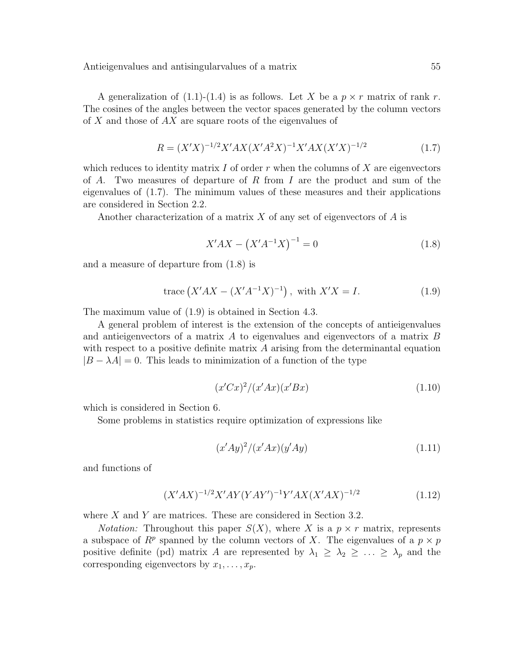A generalization of  $(1.1)-(1.4)$  is as follows. Let X be a  $p \times r$  matrix of rank r. The cosines of the angles between the vector spaces generated by the column vectors of X and those of AX are square roots of the eigenvalues of

$$
R = (X'X)^{-1/2}X'AX(X'A^2X)^{-1}X'AX(X'X)^{-1/2}
$$
\n(1.7)

which reduces to identity matrix  $I$  of order  $r$  when the columns of  $X$  are eigenvectors of A. Two measures of departure of R from I are the product and sum of the eigenvalues of (1.7). The minimum values of these measures and their applications are considered in Section 2.2.

Another characterization of a matrix X of any set of eigenvectors of  $A$  is

$$
X'AX - (X'A^{-1}X)^{-1} = 0\tag{1.8}
$$

and a measure of departure from (1.8) is

trace 
$$
(X'AX - (X'A^{-1}X)^{-1})
$$
, with  $X'X = I$ . (1.9)

The maximum value of (1.9) is obtained in Section 4.3.

A general problem of interest is the extension of the concepts of antieigenvalues and antieigenvectors of a matrix A to eigenvalues and eigenvectors of a matrix B with respect to a positive definite matrix  $A$  arising from the determinantal equation  $|B - \lambda A| = 0$ . This leads to minimization of a function of the type

$$
(x'Cx)^2/(x'Ax)(x'Bx)
$$
\n
$$
(1.10)
$$

which is considered in Section 6.

Some problems in statistics require optimization of expressions like

$$
(x'Ay)^2/(x'Ax)(y'Ay)
$$
\n
$$
(1.11)
$$

and functions of

$$
(X'AX)^{-1/2}X'AY(YAY')^{-1}Y'AX(X'AX)^{-1/2}
$$
\n(1.12)

where  $X$  and  $Y$  are matrices. These are considered in Section 3.2.

*Notation:* Throughout this paper  $S(X)$ , where X is a  $p \times r$  matrix, represents a subspace of  $R^p$  spanned by the column vectors of X. The eigenvalues of a  $p \times p$ positive definite (pd) matrix A are represented by  $\lambda_1 \geq \lambda_2 \geq \ldots \geq \lambda_p$  and the corresponding eigenvectors by  $x_1, \ldots, x_p$ .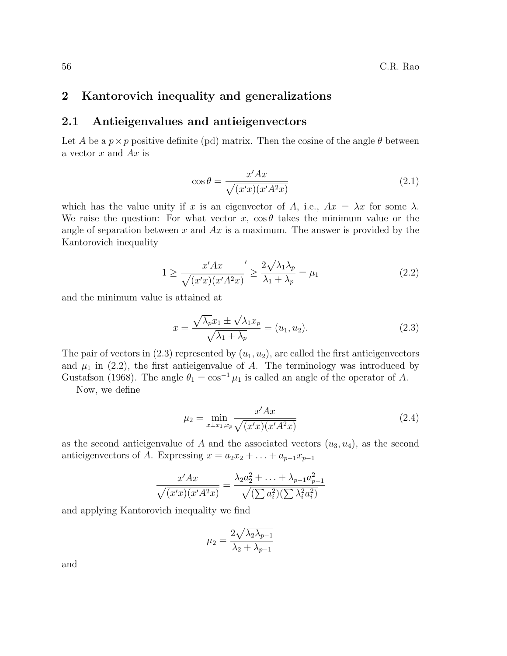### 2 Kantorovich inequality and generalizations

### 2.1 Antieigenvalues and antieigenvectors

Let A be a  $p \times p$  positive definite (pd) matrix. Then the cosine of the angle  $\theta$  between a vector  $x$  and  $Ax$  is

$$
\cos \theta = \frac{x'Ax}{\sqrt{(x'x)(x'A^2x)}}
$$
\n(2.1)

which has the value unity if x is an eigenvector of A, i.e.,  $Ax = \lambda x$  for some  $\lambda$ . We raise the question: For what vector x,  $\cos \theta$  takes the minimum value or the angle of separation between x and  $Ax$  is a maximum. The answer is provided by the Kantorovich inequality

$$
1 \ge \frac{x'Ax}{\sqrt{(x'x)(x'A^2x)}}' \ge \frac{2\sqrt{\lambda_1\lambda_p}}{\lambda_1 + \lambda_p} = \mu_1
$$
\n(2.2)

and the minimum value is attained at

$$
x = \frac{\sqrt{\lambda_p}x_1 \pm \sqrt{\lambda_1}x_p}{\sqrt{\lambda_1 + \lambda_p}} = (u_1, u_2). \tag{2.3}
$$

The pair of vectors in  $(2.3)$  represented by  $(u_1, u_2)$ , are called the first antieigenvectors and  $\mu_1$  in (2.2), the first antieigenvalue of A. The terminology was introduced by Gustafson (1968). The angle  $\theta_1 = \cos^{-1} \mu_1$  is called an angle of the operator of A.

Now, we define

$$
\mu_2 = \min_{x \perp x_1, x_p} \frac{x' A x}{\sqrt{(x' x)(x' A^2 x)}}
$$
(2.4)

as the second antieigenvalue of A and the associated vectors  $(u_3, u_4)$ , as the second antieigenvectors of A. Expressing  $x = a_2x_2 + \ldots + a_{p-1}x_{p-1}$ 

$$
\frac{x'Ax}{\sqrt{(x'x)(x'A^2x)}} = \frac{\lambda_2 a_2^2 + \ldots + \lambda_{p-1} a_{p-1}^2}{\sqrt{(\sum a_i^2)(\sum \lambda_i^2 a_i^2)}}
$$

and applying Kantorovich inequality we find

$$
\mu_2 = \frac{2\sqrt{\lambda_2\lambda_{p-1}}}{\lambda_2 + \lambda_{p-1}}
$$

and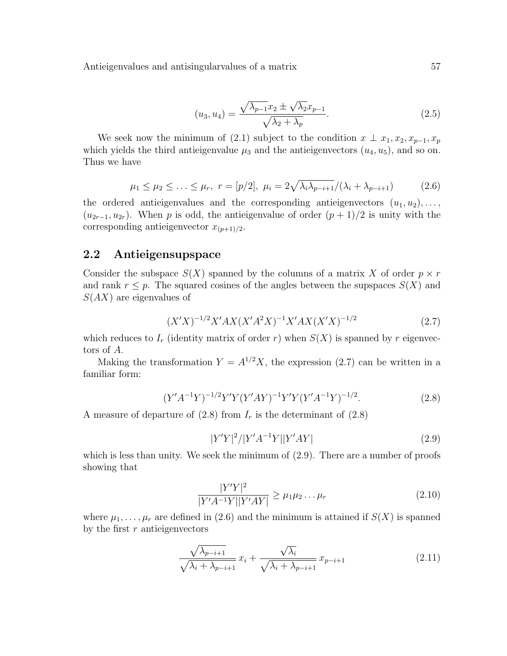$$
(u_3, u_4) = \frac{\sqrt{\lambda_{p-1}x_2 \pm \sqrt{\lambda_2}x_{p-1}}}{\sqrt{\lambda_2 + \lambda_p}}.
$$
\n(2.5)

We seek now the minimum of (2.1) subject to the condition  $x \perp x_1, x_2, x_{p-1}, x_p$ which yields the third antieigenvalue  $\mu_3$  and the antieigenvectors  $(u_4, u_5)$ , and so on. Thus we have

$$
\mu_1 \le \mu_2 \le \ldots \le \mu_r, \ r = [p/2], \ \mu_i = 2\sqrt{\lambda_i \lambda_{p-i+1}}/(\lambda_i + \lambda_{p-i+1})
$$
\n(2.6)

the ordered antieigenvalues and the corresponding antieigenvectors  $(u_1, u_2), \ldots,$  $(u_{2r-1}, u_{2r})$ . When p is odd, the antieigenvalue of order  $(p+1)/2$  is unity with the corresponding antieigenvector  $x_{(p+1)/2}$ .

### 2.2 Antieigensupspace

Consider the subspace  $S(X)$  spanned by the columns of a matrix X of order  $p \times r$ and rank  $r \leq p$ . The squared cosines of the angles between the supspaces  $S(X)$  and  $S(AX)$  are eigenvalues of

$$
(X'X)^{-1/2}X'AX(X'A^2X)^{-1}X'AX(X'X)^{-1/2}
$$
\n(2.7)

which reduces to  $I_r$  (identity matrix of order r) when  $S(X)$  is spanned by r eigenvectors of A.

Making the transformation  $Y = A^{1/2}X$ , the expression (2.7) can be written in a familiar form:

$$
(Y'A^{-1}Y)^{-1/2}Y'Y(Y'AY)^{-1}Y'Y(Y'A^{-1}Y)^{-1/2}.
$$
 (2.8)

A measure of departure of  $(2.8)$  from  $I_r$  is the determinant of  $(2.8)$ 

$$
|Y'Y|^2/|Y'A^{-1}Y||Y'AY|
$$
\n(2.9)

which is less than unity. We seek the minimum of  $(2.9)$ . There are a number of proofs showing that

$$
\frac{|Y'Y|^2}{|Y'A^{-1}Y||Y'AY|} \ge \mu_1 \mu_2 \dots \mu_r \tag{2.10}
$$

where  $\mu_1, \ldots, \mu_r$  are defined in (2.6) and the minimum is attained if  $S(X)$  is spanned by the first  $r$  antieigenvectors

$$
\frac{\sqrt{\lambda_{p-i+1}}}{\sqrt{\lambda_i + \lambda_{p-i+1}}} x_i + \frac{\sqrt{\lambda_i}}{\sqrt{\lambda_i + \lambda_{p-i+1}}} x_{p-i+1}
$$
\n(2.11)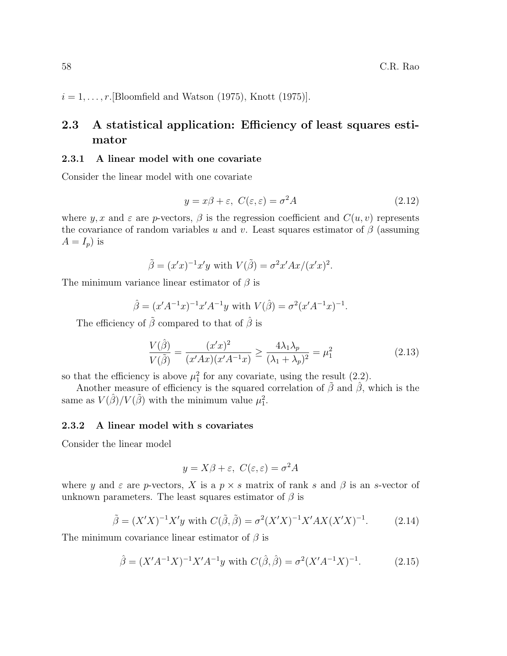$i = 1, \ldots, r$ . [Bloomfield and Watson (1975), Knott (1975)].

# 2.3 A statistical application: Efficiency of least squares estimator

#### 2.3.1 A linear model with one covariate

Consider the linear model with one covariate

$$
y = x\beta + \varepsilon, \ C(\varepsilon, \varepsilon) = \sigma^2 A \tag{2.12}
$$

where y, x and  $\varepsilon$  are p-vectors,  $\beta$  is the regression coefficient and  $C(u, v)$  represents the covariance of random variables u and v. Least squares estimator of  $\beta$  (assuming  $A = I_p$ ) is

$$
\tilde{\beta} = (x'x)^{-1}x'y \text{ with } V(\tilde{\beta}) = \sigma^2 x' Ax/(x'x)^2.
$$

The minimum variance linear estimator of  $\beta$  is

$$
\hat{\beta} = (x' A^{-1} x)^{-1} x' A^{-1} y
$$
 with  $V(\hat{\beta}) = \sigma^2 (x' A^{-1} x)^{-1}$ .

The efficiency of  $\tilde{\beta}$  compared to that of  $\hat{\beta}$  is

$$
\frac{V(\hat{\beta})}{V(\tilde{\beta})} = \frac{(x'x)^2}{(x'Ax)(x'A^{-1}x)} \ge \frac{4\lambda_1\lambda_p}{(\lambda_1 + \lambda_p)^2} = \mu_1^2
$$
\n(2.13)

so that the efficiency is above  $\mu_1^2$  for any covariate, using the result (2.2).

Another measure of efficiency is the squared correlation of  $\tilde{\beta}$  and  $\hat{\beta}$ , which is the same as  $V(\hat{\beta})/V(\tilde{\beta})$  with the minimum value  $\mu_1^2$ .

#### 2.3.2 A linear model with s covariates

Consider the linear model

$$
y = X\beta + \varepsilon, \ C(\varepsilon, \varepsilon) = \sigma^2 A
$$

where y and  $\varepsilon$  are p-vectors, X is a  $p \times s$  matrix of rank s and  $\beta$  is an s-vector of unknown parameters. The least squares estimator of  $\beta$  is

$$
\tilde{\beta} = (X'X)^{-1}X'y \text{ with } C(\tilde{\beta}, \tilde{\beta}) = \sigma^2 (X'X)^{-1}X'AX(X'X)^{-1}.
$$
 (2.14)

The minimum covariance linear estimator of  $\beta$  is

$$
\hat{\beta} = (X'A^{-1}X)^{-1}X'A^{-1}y \text{ with } C(\hat{\beta}, \hat{\beta}) = \sigma^2 (X'A^{-1}X)^{-1}. \tag{2.15}
$$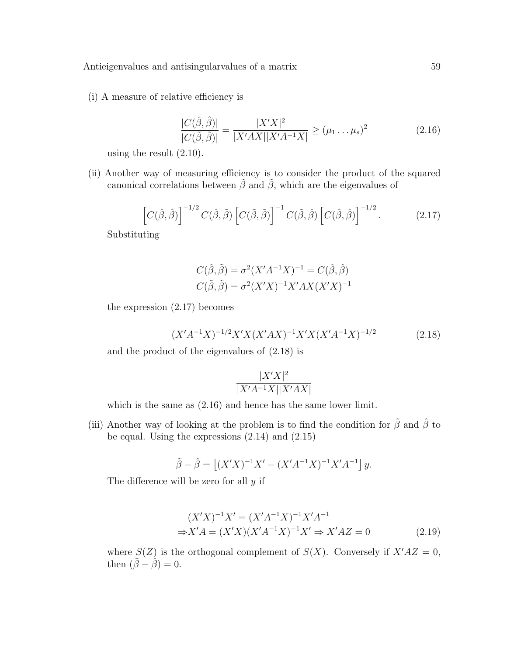(i) A measure of relative efficiency is

$$
\frac{|C(\hat{\beta}, \hat{\beta})|}{|C(\tilde{\beta}, \tilde{\beta})|} = \frac{|X'X|^2}{|X'AX||X'A^{-1}X|} \ge (\mu_1 \dots \mu_s)^2
$$
\n(2.16)

using the result (2.10).

(ii) Another way of measuring efficiency is to consider the product of the squared canonical correlations between  $\tilde{\beta}$  and  $\tilde{\beta}$ , which are the eigenvalues of

$$
\left[C(\hat{\beta},\hat{\beta})\right]^{-1/2} C(\hat{\beta},\tilde{\beta}) \left[C(\tilde{\beta},\tilde{\beta})\right]^{-1} C(\tilde{\beta},\hat{\beta}) \left[C(\hat{\beta},\hat{\beta})\right]^{-1/2}.
$$
 (2.17)

Substituting

$$
C(\hat{\beta}, \tilde{\beta}) = \sigma^2 (X'A^{-1}X)^{-1} = C(\hat{\beta}, \hat{\beta})
$$

$$
C(\tilde{\beta}, \tilde{\beta}) = \sigma^2 (X'X)^{-1} X' A X (X'X)^{-1}
$$

the expression (2.17) becomes

$$
(X'A^{-1}X)^{-1/2}X'X(X'AX)^{-1}X'X(X'A^{-1}X)^{-1/2}
$$
 (2.18)

and the product of the eigenvalues of (2.18) is

$$
\frac{|X'X|^2}{|X'A^{-1}X||X'AX|}
$$

which is the same as (2.16) and hence has the same lower limit.

(iii) Another way of looking at the problem is to find the condition for  $\tilde{\beta}$  and  $\hat{\beta}$  to be equal. Using the expressions (2.14) and (2.15)

$$
\tilde{\beta} - \hat{\beta} = \left[ (X'X)^{-1}X' - (X'A^{-1}X)^{-1}X'A^{-1} \right]y.
$$

The difference will be zero for all  $y$  if

$$
(X'X)^{-1}X' = (X'A^{-1}X)^{-1}X'A^{-1}
$$
  
\n
$$
\Rightarrow X'A = (X'X)(X'A^{-1}X)^{-1}X' \Rightarrow X'AZ = 0
$$
\n(2.19)

where  $S(Z)$  is the orthogonal complement of  $S(X)$ . Conversely if  $X'AZ = 0$ , then  $(\tilde{\beta} - \hat{\beta}) = 0$ .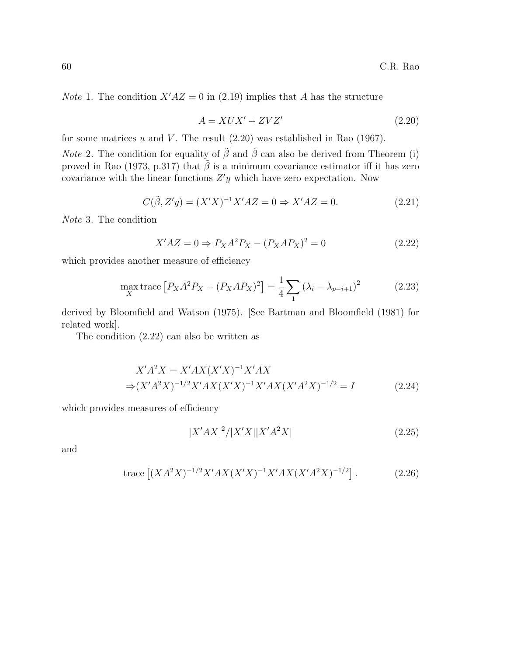*Note* 1. The condition  $X'AZ = 0$  in (2.19) implies that A has the structure

$$
A = XUX' + ZVZ'
$$
\n<sup>(2.20)</sup>

for some matrices  $u$  and  $V$ . The result  $(2.20)$  was established in Rao  $(1967)$ .

*Note* 2. The condition for equality of  $\tilde{\beta}$  and  $\hat{\beta}$  can also be derived from Theorem (i) proved in Rao (1973, p.317) that  $\tilde{\beta}$  is a minimum covariance estimator iff it has zero covariance with the linear functions  $Z'y$  which have zero expectation. Now

$$
C(\tilde{\beta}, Z'y) = (X'X)^{-1}X'AZ = 0 \Rightarrow X'AZ = 0.
$$
 (2.21)

Note 3. The condition

$$
X'AZ = 0 \Rightarrow P_XA^2P_X - (P_XAP_X)^2 = 0 \tag{2.22}
$$

which provides another measure of efficiency

$$
\max_{X} \text{trace} [P_X A^2 P_X - (P_X A P_X)^2] = \frac{1}{4} \sum_{1} (\lambda_i - \lambda_{p-i+1})^2
$$
 (2.23)

derived by Bloomfield and Watson (1975). [See Bartman and Bloomfield (1981) for related work].

The condition (2.22) can also be written as

$$
X'A^2X = X'AX(X'X)^{-1}X'AX
$$
  
\n
$$
\Rightarrow (X'A^2X)^{-1/2}X'AX(X'X)^{-1}X'AX(X'A^2X)^{-1/2} = I
$$
 (2.24)

which provides measures of efficiency

$$
|X'AX|^2/|X'X||X'A^2X|
$$
\n(2.25)

and

trace 
$$
[(XA^{2}X)^{-1/2}X'AX(X'X)^{-1}X'AX(X'A^{2}X)^{-1/2}]
$$
. (2.26)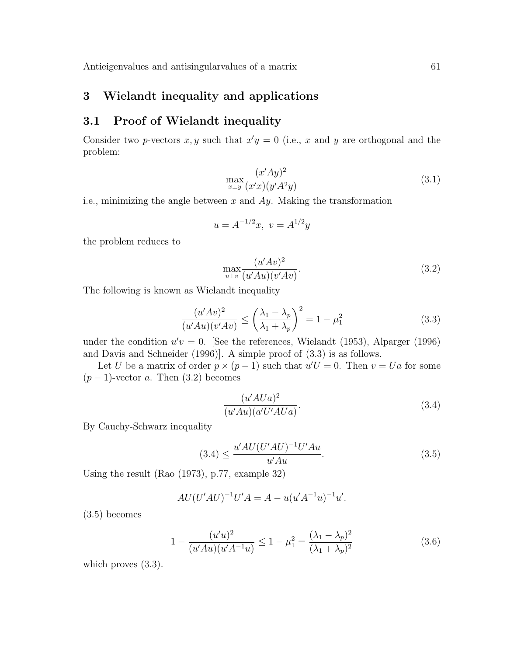# 3 Wielandt inequality and applications

### 3.1 Proof of Wielandt inequality

Consider two p-vectors x, y such that  $x'y = 0$  (i.e., x and y are orthogonal and the problem:

$$
\max_{x \perp y} \frac{(x'Ay)^2}{(x'x)(y'A^2y)}\tag{3.1}
$$

i.e., minimizing the angle between  $x$  and  $Ay$ . Making the transformation

$$
u = A^{-1/2}x, \ v = A^{1/2}y
$$

the problem reduces to

$$
\max_{u \perp v} \frac{(u'Av)^2}{(u'Au)(v'Av)}.\tag{3.2}
$$

The following is known as Wielandt inequality

$$
\frac{(u'Av)^2}{(u'Au)(v'Av)} \le \left(\frac{\lambda_1 - \lambda_p}{\lambda_1 + \lambda_p}\right)^2 = 1 - \mu_1^2
$$
\n(3.3)

under the condition  $u'v = 0$ . [See the references, Wielandt (1953), Alparger (1996) and Davis and Schneider (1996)]. A simple proof of (3.3) is as follows.

Let U be a matrix of order  $p \times (p-1)$  such that  $u'U = 0$ . Then  $v = Ua$  for some  $(p-1)$ -vector a. Then  $(3.2)$  becomes

$$
\frac{(u'AUa)^2}{(u'Au)(a'U'AUa)}.\t(3.4)
$$

By Cauchy-Schwarz inequality

$$
(3.4) \le \frac{u'AU(U'AU)^{-1}U'Au}{u'Au}.
$$
\n(3.5)

Using the result (Rao (1973), p.77, example 32)

$$
AU(U'AU)^{-1}U'A = A - u(u'A^{-1}u)^{-1}u'.
$$

(3.5) becomes

$$
1 - \frac{(u'u)^2}{(u'Au)(u'A^{-1}u)} \le 1 - \mu_1^2 = \frac{(\lambda_1 - \lambda_p)^2}{(\lambda_1 + \lambda_p)^2}
$$
(3.6)

which proves  $(3.3)$ .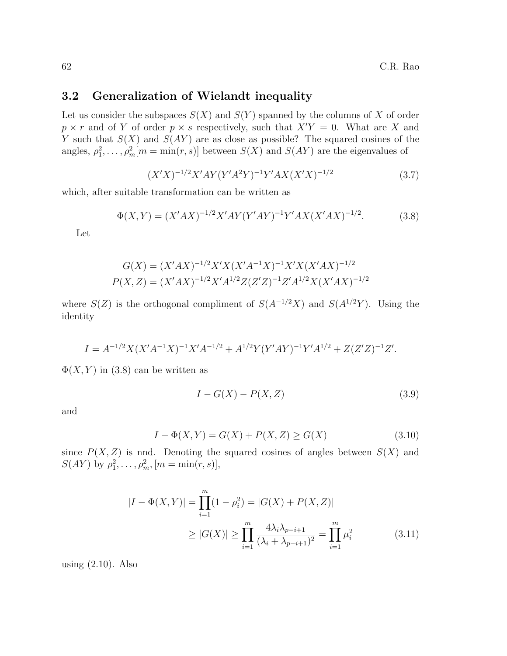### 3.2 Generalization of Wielandt inequality

Let us consider the subspaces  $S(X)$  and  $S(Y)$  spanned by the columns of X of order  $p \times r$  and of Y of order  $p \times s$  respectively, such that  $X'Y = 0$ . What are X and Y such that  $S(X)$  and  $S(AY)$  are as close as possible? The squared cosines of the angles,  $\rho_1^2, \ldots, \rho_m^2[m = \min(r, s)]$  between  $S(X)$  and  $S(AY)$  are the eigenvalues of

> $(X'X)^{-1/2}X'AY(Y'A^2Y)^{-1}Y'AX(X'X)^{-1/2}$ (3.7)

which, after suitable transformation can be written as

$$
\Phi(X,Y) = (X'AX)^{-1/2}X'AY(Y'AY)^{-1}Y'AX(X'AX)^{-1/2}.
$$
\n(3.8)

Let

$$
G(X) = (X'AX)^{-1/2}X'X(X'A^{-1}X)^{-1}X'X(X'AX)^{-1/2}
$$

$$
P(X,Z) = (X'AX)^{-1/2}X'A^{1/2}Z(Z'Z)^{-1}Z'A^{1/2}X(X'AX)^{-1/2}
$$

where  $S(Z)$  is the orthogonal compliment of  $S(A^{-1/2}X)$  and  $S(A^{1/2}Y)$ . Using the identity

$$
I = A^{-1/2} X (X'A^{-1}X)^{-1} X' A^{-1/2} + A^{1/2} Y (Y'AY)^{-1} Y' A^{1/2} + Z (Z'Z)^{-1} Z'.
$$

 $\Phi(X, Y)$  in (3.8) can be written as

$$
I - G(X) - P(X, Z) \tag{3.9}
$$

and

$$
I - \Phi(X, Y) = G(X) + P(X, Z) \ge G(X)
$$
\n(3.10)

since  $P(X, Z)$  is nnd. Denoting the squared cosines of angles between  $S(X)$  and  $S(AY)$  by  $\rho_1^2, \ldots, \rho_m^2, [m = \min(r, s)],$ 

$$
|I - \Phi(X, Y)| = \prod_{i=1}^{m} (1 - \rho_i^2) = |G(X) + P(X, Z)|
$$
  
\n
$$
\geq |G(X)| \geq \prod_{i=1}^{m} \frac{4\lambda_i \lambda_{p-i+1}}{(\lambda_i + \lambda_{p-i+1})^2} = \prod_{i=1}^{m} \mu_i^2
$$
(3.11)

using (2.10). Also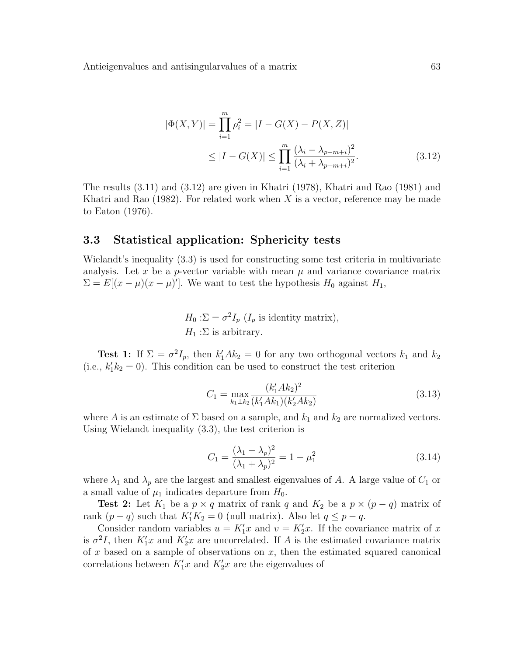$$
|\Phi(X,Y)| = \prod_{i=1}^{m} \rho_i^2 = |I - G(X) - P(X,Z)|
$$
  
\n
$$
\leq |I - G(X)| \leq \prod_{i=1}^{m} \frac{(\lambda_i - \lambda_{p-m+i})^2}{(\lambda_i + \lambda_{p-m+i})^2}.
$$
\n(3.12)

The results (3.11) and (3.12) are given in Khatri (1978), Khatri and Rao (1981) and Khatri and Rao  $(1982)$ . For related work when X is a vector, reference may be made to Eaton (1976).

#### 3.3 Statistical application: Sphericity tests

Wielandt's inequality (3.3) is used for constructing some test criteria in multivariate analysis. Let x be a p-vector variable with mean  $\mu$  and variance covariance matrix  $\Sigma = E[(x - \mu)(x - \mu)']$ . We want to test the hypothesis  $H_0$  against  $H_1$ ,

$$
H_0: \Sigma = \sigma^2 I_p (I_p \text{ is identity matrix}),
$$
  

$$
H_1: \Sigma \text{ is arbitrary.}
$$

**Test 1:** If  $\Sigma = \sigma^2 I_p$ , then  $k_1^{\prime} Ak_2 = 0$  for any two orthogonal vectors  $k_1$  and  $k_2$ (i.e.,  $k'_1 k_2 = 0$ ). This condition can be used to construct the test criterion

$$
C_1 = \max_{k_1 \perp k_2} \frac{(k_1' A k_2)^2}{(k_1' A k_1)(k_2' A k_2)}\tag{3.13}
$$

where A is an estimate of  $\Sigma$  based on a sample, and  $k_1$  and  $k_2$  are normalized vectors. Using Wielandt inequality (3.3), the test criterion is

$$
C_1 = \frac{(\lambda_1 - \lambda_p)^2}{(\lambda_1 + \lambda_p)^2} = 1 - \mu_1^2
$$
\n(3.14)

where  $\lambda_1$  and  $\lambda_p$  are the largest and smallest eigenvalues of A. A large value of  $C_1$  or a small value of  $\mu_1$  indicates departure from  $H_0$ .

**Test 2:** Let  $K_1$  be a  $p \times q$  matrix of rank q and  $K_2$  be a  $p \times (p - q)$  matrix of rank  $(p - q)$  such that  $K_1' K_2 = 0$  (null matrix). Also let  $q \leq p - q$ .

Consider random variables  $u = K'_1 x$  and  $v = K'_2 x$ . If the covariance matrix of x is  $\sigma^2 I$ , then  $K_1' x$  and  $K_2' x$  are uncorrelated. If A is the estimated covariance matrix of  $x$  based on a sample of observations on  $x$ , then the estimated squared canonical correlations between  $K_1'x$  and  $K_2'x$  are the eigenvalues of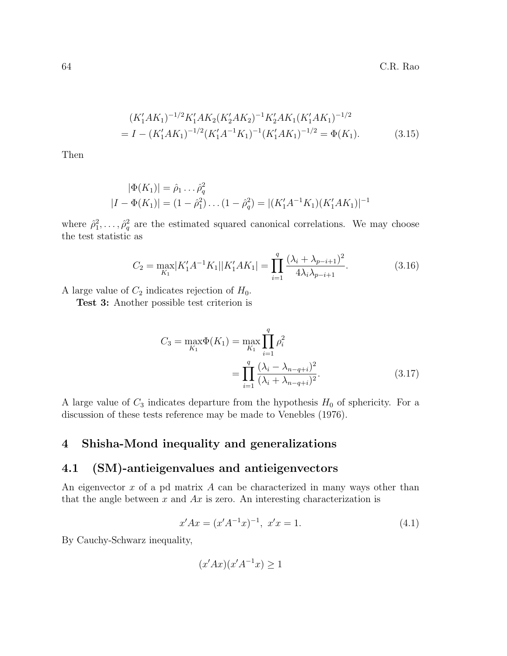$$
(K'_1AK_1)^{-1/2}K'_1AK_2(K'_2AK_2)^{-1}K'_2AK_1(K'_1AK_1)^{-1/2}
$$
  
=  $I - (K'_1AK_1)^{-1/2}(K'_1A^{-1}K_1)^{-1}(K'_1AK_1)^{-1/2} = \Phi(K_1).$  (3.15)

Then

$$
|\Phi(K_1)| = \hat{\rho}_1 \dots \hat{\rho}_q^2
$$
  

$$
|I - \Phi(K_1)| = (1 - \hat{\rho}_1^2) \dots (1 - \hat{\rho}_q^2) = |(K_1'A^{-1}K_1)(K_1'AK_1)|^{-1}
$$

where  $\hat{\rho}_1^2, \ldots, \hat{\rho}_q^2$  are the estimated squared canonical correlations. We may choose the test statistic as

$$
C_2 = \max_{K_1} |K_1' A^{-1} K_1| |K_1' A K_1| = \prod_{i=1}^q \frac{(\lambda_i + \lambda_{p-i+1})^2}{4\lambda_i \lambda_{p-i+1}}.
$$
 (3.16)

A large value of  $C_2$  indicates rejection of  $H_0$ .

Test 3: Another possible test criterion is

$$
C_3 = \max_{K_1} \Phi(K_1) = \max_{K_1} \prod_{i=1}^q \rho_i^2
$$
  
= 
$$
\prod_{i=1}^q \frac{(\lambda_i - \lambda_{n-q+i})^2}{(\lambda_i + \lambda_{n-q+i})^2}.
$$
 (3.17)

A large value of  $C_3$  indicates departure from the hypothesis  $H_0$  of sphericity. For a discussion of these tests reference may be made to Venebles (1976).

# 4 Shisha-Mond inequality and generalizations

### 4.1 (SM)-antieigenvalues and antieigenvectors

An eigenvector  $x$  of a pd matrix  $A$  can be characterized in many ways other than that the angle between x and  $Ax$  is zero. An interesting characterization is

$$
x'Ax = (x'A^{-1}x)^{-1}, \ x'x = 1.
$$
\n(4.1)

By Cauchy-Schwarz inequality,

$$
(x'Ax)(x'A^{-1}x) \ge 1
$$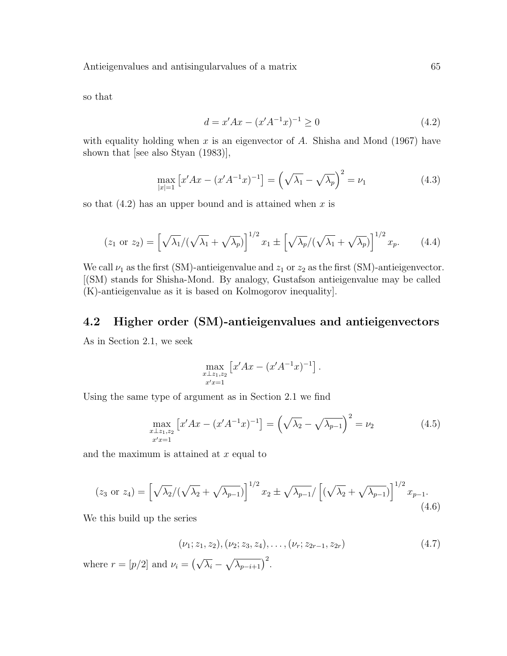so that

$$
d = x'Ax - (x'A^{-1}x)^{-1} \ge 0
$$
\n(4.2)

with equality holding when  $x$  is an eigenvector of  $A$ . Shisha and Mond (1967) have shown that [see also Styan (1983)],

$$
\max_{|x|=1} \left[ x'Ax - (x'A^{-1}x)^{-1} \right] = \left( \sqrt{\lambda_1} - \sqrt{\lambda_p} \right)^2 = \nu_1 \tag{4.3}
$$

so that  $(4.2)$  has an upper bound and is attained when x is

$$
(z_1 \text{ or } z_2) = \left[\sqrt{\lambda_1}/(\sqrt{\lambda_1} + \sqrt{\lambda_p})\right]^{1/2} x_1 \pm \left[\sqrt{\lambda_p}/(\sqrt{\lambda_1} + \sqrt{\lambda_p})\right]^{1/2} x_p. \tag{4.4}
$$

We call  $\nu_1$  as the first (SM)-antieigenvalue and  $z_1$  or  $z_2$  as the first (SM)-antieigenvector. [(SM) stands for Shisha-Mond. By analogy, Gustafson antieigenvalue may be called (K)-antieigenvalue as it is based on Kolmogorov inequality].

### 4.2 Higher order (SM)-antieigenvalues and antieigenvectors

As in Section 2.1, we seek

$$
\max_{\substack{x \perp z_1, z_2 \\ x'x = 1}} \left[ x'Ax - (x'A^{-1}x)^{-1} \right].
$$

Using the same type of argument as in Section 2.1 we find

$$
\max_{\substack{x \perp z_1, z_2 \\ x'x = 1}} \left[ x'Ax - (x'A^{-1}x)^{-1} \right] = \left( \sqrt{\lambda_2} - \sqrt{\lambda_{p-1}} \right)^2 = \nu_2 \tag{4.5}
$$

and the maximum is attained at  $x$  equal to

$$
(z_3 \text{ or } z_4) = \left[\sqrt{\lambda_2}/(\sqrt{\lambda_2} + \sqrt{\lambda_{p-1}})\right]^{1/2} x_2 \pm \sqrt{\lambda_{p-1}} / \left[ (\sqrt{\lambda_2} + \sqrt{\lambda_{p-1}})\right]^{1/2} x_{p-1}.
$$
\n(4.6)

We this build up the series

$$
(\nu_1; z_1, z_2), (\nu_2; z_3, z_4), \dots, (\nu_r; z_{2r-1}, z_{2r})
$$
\n
$$
(4.7)
$$

where  $r = [p/2]$  and  $\nu_i = (\sqrt{\lambda_i} - \sqrt{\lambda_{p-i+1}})^2$ .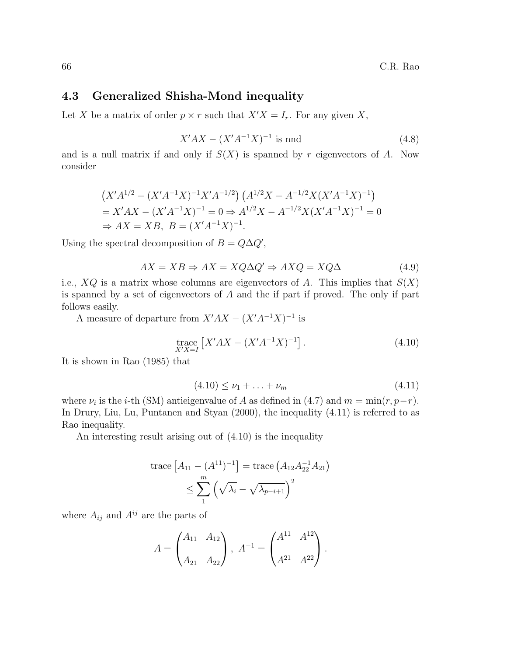### 4.3 Generalized Shisha-Mond inequality

Let X be a matrix of order  $p \times r$  such that  $X'X = I_r$ . For any given X,

$$
X'AX - (X'A^{-1}X)^{-1}
$$
 is and (4.8)

and is a null matrix if and only if  $S(X)$  is spanned by r eigenvectors of A. Now consider

$$
(X'A^{1/2} - (X'A^{-1}X)^{-1}X'A^{-1/2}) (A^{1/2}X - A^{-1/2}X(X'A^{-1}X)^{-1})
$$
  
= X'AX - (X'A^{-1}X)^{-1} = 0 \Rightarrow A^{1/2}X - A^{-1/2}X(X'A^{-1}X)^{-1} = 0  
\Rightarrow AX = XB, B = (X'A^{-1}X)^{-1}.

Using the spectral decomposition of  $B = Q\Delta Q'$ ,

$$
AX = XB \Rightarrow AX = XQ\Delta Q' \Rightarrow AXQ = XQ\Delta \tag{4.9}
$$

i.e.,  $XQ$  is a matrix whose columns are eigenvectors of A. This implies that  $S(X)$ is spanned by a set of eigenvectors of A and the if part if proved. The only if part follows easily.

A measure of departure from  $X'AX - (X'A^{-1}X)^{-1}$  is

trace 
$$
\left[ X'AX - (X'A^{-1}X)^{-1} \right]
$$
. (4.10)

It is shown in Rao (1985) that

$$
(4.10) \le \nu_1 + \ldots + \nu_m \tag{4.11}
$$

where  $\nu_i$  is the *i*-th (SM) antieigenvalue of A as defined in (4.7) and  $m = \min(r, p-r)$ . In Drury, Liu, Lu, Puntanen and Styan (2000), the inequality (4.11) is referred to as Rao inequality.

An interesting result arising out of (4.10) is the inequality

trace 
$$
[A_{11} - (A^{11})^{-1}]
$$
 = trace  $(A_{12}A_{22}^{-1}A_{21})$   
 $\leq \sum_{1}^{m} (\sqrt{\lambda_i} - \sqrt{\lambda_{p-i+1}})^2$ 

where  $A_{ij}$  and  $A^{ij}$  are the parts of

$$
A = \begin{pmatrix} A_{11} & A_{12} \\ A_{21} & A_{22} \end{pmatrix}, A^{-1} = \begin{pmatrix} A^{11} & A^{12} \\ A^{21} & A^{22} \end{pmatrix}.
$$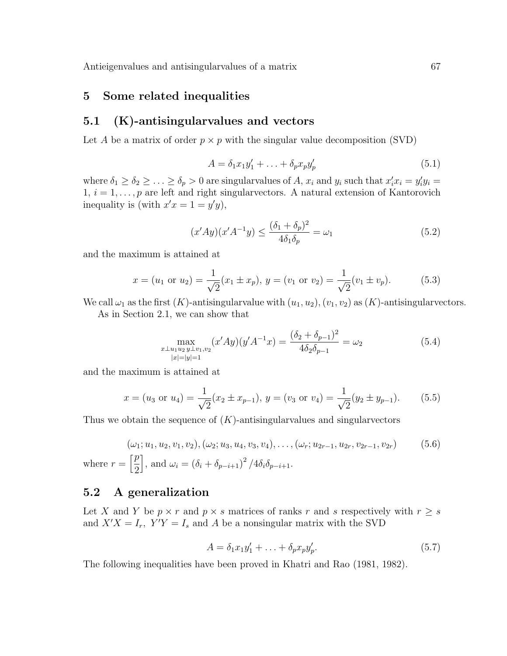### 5 Some related inequalities

### 5.1 (K)-antisingularvalues and vectors

Let A be a matrix of order  $p \times p$  with the singular value decomposition (SVD)

$$
A = \delta_1 x_1 y_1' + \ldots + \delta_p x_p y_p'
$$
\n
$$
(5.1)
$$

where  $\delta_1 \ge \delta_2 \ge \ldots \ge \delta_p > 0$  are singular<br>values of A,  $x_i$  and  $y_i$  such that  $x'_i x_i = y'_i y_i =$  $1, i = 1, \ldots, p$  are left and right singular vectors. A natural extension of Kantorovich inequality is (with  $x'x = 1 = y'y$ ),

$$
(x'Ay)(x'A^{-1}y) \le \frac{(\delta_1 + \delta_p)^2}{4\delta_1 \delta_p} = \omega_1
$$
\n(5.2)

and the maximum is attained at

$$
x = (u_1 \text{ or } u_2) = \frac{1}{\sqrt{2}} (x_1 \pm x_p), y = (v_1 \text{ or } v_2) = \frac{1}{\sqrt{2}} (v_1 \pm v_p).
$$
 (5.3)

We call  $\omega_1$  as the first  $(K)$ -antisingularvalue with  $(u_1, u_2), (v_1, v_2)$  as  $(K)$ -antisingularvectors.

As in Section 2.1, we can show that

$$
\max_{\substack{x \perp u_1 u_2 y \perp v_1, v_2}} (x' A y)(y' A^{-1} x) = \frac{(\delta_2 + \delta_{p-1})^2}{4 \delta_2 \delta_{p-1}} = \omega_2
$$
\n(5.4)

and the maximum is attained at

$$
x = (u_3 \text{ or } u_4) = \frac{1}{\sqrt{2}} (x_2 \pm x_{p-1}), y = (v_3 \text{ or } v_4) = \frac{1}{\sqrt{2}} (y_2 \pm y_{p-1}).
$$
 (5.5)

Thus we obtain the sequence of  $(K)$ -antisingularvalues and singularvectors

$$
(\omega_1; u_1, u_2, v_1, v_2), (\omega_2; u_3, u_4, v_3, v_4), \dots, (\omega_r; u_{2r-1}, u_{2r}, v_{2r-1}, v_{2r})
$$
 (5.6)  
where  $r = \left[\frac{p}{2}\right]$ , and  $\omega_i = (\delta_i + \delta_{p-i+1})^2 / 4\delta_i \delta_{p-i+1}$ .

#### 5.2 A generalization

Let X and Y be  $p \times r$  and  $p \times s$  matrices of ranks r and s respectively with  $r \geq s$ and  $X'X = I_r$ ,  $Y'Y = I_s$  and A be a nonsingular matrix with the SVD

$$
A = \delta_1 x_1 y_1' + \ldots + \delta_p x_p y_p'. \tag{5.7}
$$

The following inequalities have been proved in Khatri and Rao (1981, 1982).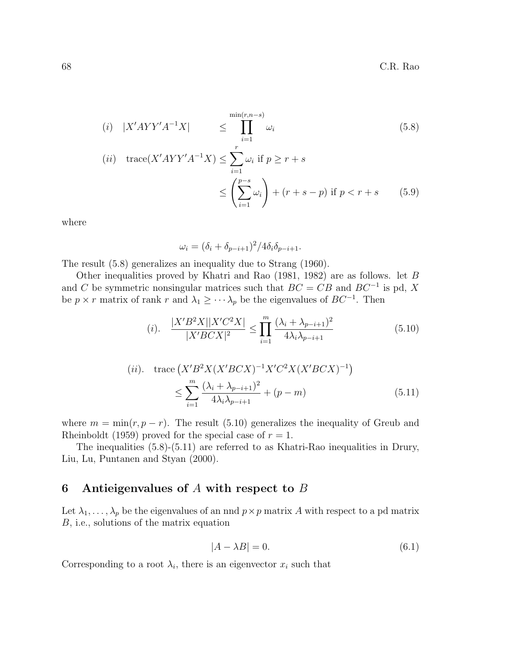$$
(i) \quad |X'AYY'A^{-1}X| \leq \prod_{i=1}^{\min(r,n-s)} \omega_i
$$
\n
$$
(ii) \quad \text{trace}(X'AYY'A^{-1}X) \leq \sum_{i=1}^r \omega_i \text{ if } p \geq r+s
$$
\n
$$
\leq \left(\sum_{i=1}^{p-s} \omega_i\right) + (r+s-p) \text{ if } p < r+s \qquad (5.9)
$$

where

$$
\omega_i = (\delta_i + \delta_{p-i+1})^2 / 4\delta_i \delta_{p-i+1}.
$$

The result (5.8) generalizes an inequality due to Strang (1960).

Other inequalities proved by Khatri and Rao (1981, 1982) are as follows. let B and C be symmetric nonsingular matrices such that  $BC = CB$  and  $BC^{-1}$  is pd, X be  $p \times r$  matrix of rank r and  $\lambda_1 \geq \cdots \lambda_p$  be the eigenvalues of  $BC^{-1}$ . Then

(i). 
$$
\frac{|X'B^2X||X'C^2X|}{|X'BCX|^2} \le \prod_{i=1}^m \frac{(\lambda_i + \lambda_{p-i+1})^2}{4\lambda_i \lambda_{p-i+1}}
$$
(5.10)

(ii). trace 
$$
(X'B^2X(X'BCX)^{-1}X'C^2X(X'BCX)^{-1})
$$
  

$$
\leq \sum_{i=1}^m \frac{(\lambda_i + \lambda_{p-i+1})^2}{4\lambda_i \lambda_{p-i+1}} + (p-m)
$$
(5.11)

where  $m = \min(r, p - r)$ . The result (5.10) generalizes the inequality of Greub and Rheinboldt (1959) proved for the special case of  $r = 1$ .

The inequalities (5.8)-(5.11) are referred to as Khatri-Rao inequalities in Drury, Liu, Lu, Puntanen and Styan (2000).

# 6 Antieigenvalues of  $A$  with respect to  $B$

Let  $\lambda_1, \ldots, \lambda_p$  be the eigenvalues of an nnd  $p \times p$  matrix A with respect to a pd matrix B, i.e., solutions of the matrix equation

$$
|A - \lambda B| = 0.\t(6.1)
$$

Corresponding to a root  $\lambda_i$ , there is an eigenvector  $x_i$  such that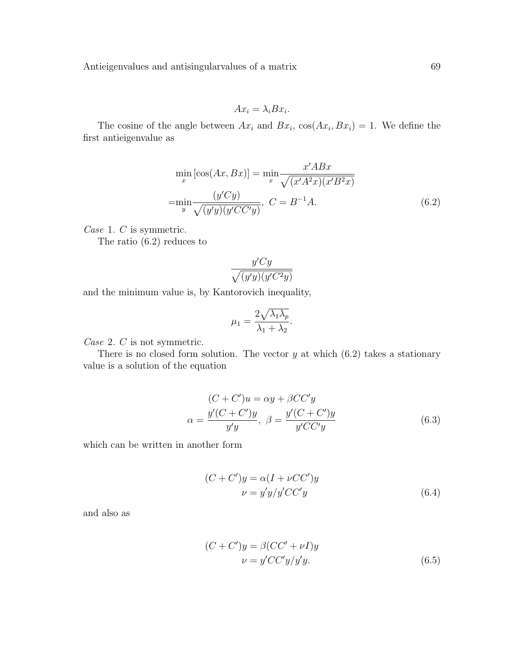$$
Ax_i = \lambda_i Bx_i.
$$

The cosine of the angle between  $Ax_i$  and  $Bx_i$ ,  $\cos(Ax_i, Bx_i) = 1$ . We define the first antieigenvalue as

$$
\min_{x} \left[\cos(Ax, Bx)\right] = \min_{x} \frac{x'ABx}{\sqrt{(x'A^2x)(x'B^2x)}}
$$
\n
$$
= \min_{y} \frac{(y'Cy)}{\sqrt{(y'y)(y'CC'y)}}, \ C = B^{-1}A. \tag{6.2}
$$

Case 1. C is symmetric.

The ratio (6.2) reduces to

$$
\frac{y'Cy}{\sqrt{(y'y)(y'C^2y)}}
$$

and the minimum value is, by Kantorovich inequality,

$$
\mu_1 = \frac{2\sqrt{\lambda_1 \lambda_p}}{\lambda_1 + \lambda_2}.
$$

Case 2. C is not symmetric.

There is no closed form solution. The vector  $y$  at which  $(6.2)$  takes a stationary value is a solution of the equation

$$
(C + C')u = \alpha y + \beta CC'y
$$
  

$$
\alpha = \frac{y'(C + C')y}{y'y}, \ \beta = \frac{y'(C + C')y}{y'CC'y}
$$
(6.3)

which can be written in another form

$$
(C + C')y = \alpha (I + \nu CC')y
$$
  

$$
\nu = y'y/y'CC'y
$$
 (6.4)

and also as

$$
(C + C')y = \beta (CC' + \nu I)y
$$
  

$$
\nu = y'CC'y/y'y.
$$
 (6.5)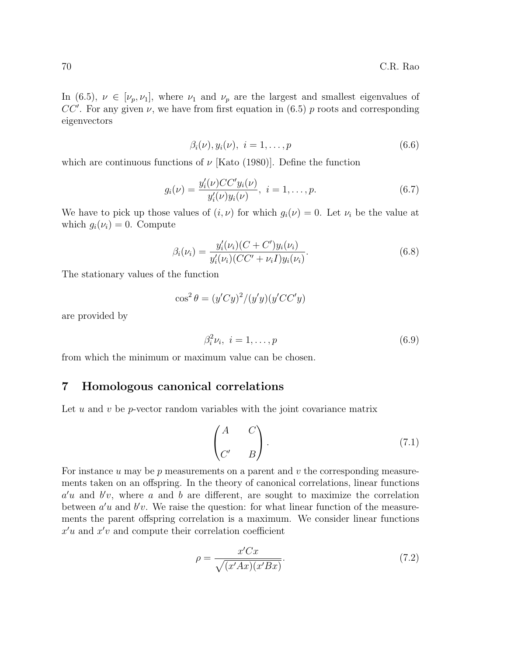In (6.5),  $\nu \in [\nu_p, \nu_1]$ , where  $\nu_1$  and  $\nu_p$  are the largest and smallest eigenvalues of CC'. For any given  $\nu$ , we have from first equation in (6.5) p roots and corresponding eigenvectors

$$
\beta_i(\nu), y_i(\nu), i = 1, \dots, p \tag{6.6}
$$

which are continuous functions of  $\nu$  [Kato (1980)]. Define the function

$$
g_i(\nu) = \frac{y_i'(\nu)CC'y_i(\nu)}{y_i'(\nu)y_i(\nu)}, \quad i = 1, \dots, p. \tag{6.7}
$$

We have to pick up those values of  $(i, \nu)$  for which  $g_i(\nu) = 0$ . Let  $\nu_i$  be the value at which  $g_i(\nu_i) = 0$ . Compute

$$
\beta_i(\nu_i) = \frac{y_i'(\nu_i)(C + C')y_i(\nu_i)}{y_i'(\nu_i)(CC' + \nu_i I)y_i(\nu_i)}.
$$
\n(6.8)

The stationary values of the function

$$
\cos^2 \theta = (y'Cy)^2/(y'y)(y'CC'y)
$$

are provided by

$$
\beta_i^2 \nu_i, \quad i = 1, \dots, p \tag{6.9}
$$

from which the minimum or maximum value can be chosen.

### 7 Homologous canonical correlations

Let  $u$  and  $v$  be  $p$ -vector random variables with the joint covariance matrix

$$
\begin{pmatrix} A & C \\ C' & B \end{pmatrix} . \tag{7.1}
$$

For instance  $u$  may be  $p$  measurements on a parent and  $v$  the corresponding measurements taken on an offspring. In the theory of canonical correlations, linear functions  $a'u$  and  $b'v$ , where a and b are different, are sought to maximize the correlation between  $a'u$  and  $b'v$ . We raise the question: for what linear function of the measurements the parent offspring correlation is a maximum. We consider linear functions  $x'u$  and  $x'v$  and compute their correlation coefficient

$$
\rho = \frac{x'Cx}{\sqrt{(x'Ax)(x'Bx)}}.\tag{7.2}
$$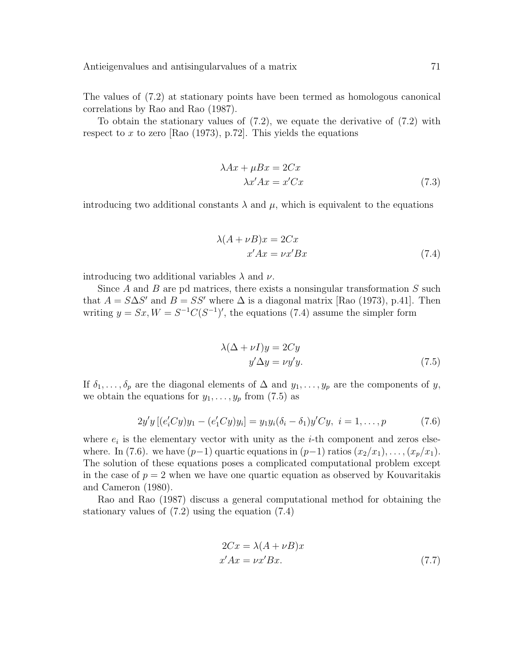The values of (7.2) at stationary points have been termed as homologous canonical correlations by Rao and Rao (1987).

To obtain the stationary values of  $(7.2)$ , we equate the derivative of  $(7.2)$  with respect to x to zero [Rao (1973), p.72]. This yields the equations

$$
\lambda Ax + \mu Bx = 2Cx
$$
  

$$
\lambda x'Ax = x'Cx
$$
 (7.3)

introducing two additional constants  $\lambda$  and  $\mu$ , which is equivalent to the equations

$$
\lambda(A + \nu B)x = 2Cx
$$
  

$$
x'Ax = \nu x'Bx
$$
 (7.4)

introducing two additional variables  $\lambda$  and  $\nu$ .

Since  $A$  and  $B$  are pd matrices, there exists a nonsingular transformation  $S$  such that  $A = S \Delta S'$  and  $B = SS'$  where  $\Delta$  is a diagonal matrix [Rao (1973), p.41]. Then writing  $y = Sx, W = S^{-1}C(S^{-1})'$ , the equations (7.4) assume the simpler form

$$
\lambda(\Delta + \nu I)y = 2Cy
$$
  

$$
y'\Delta y = \nu y'y.
$$
 (7.5)

If  $\delta_1, \ldots, \delta_p$  are the diagonal elements of  $\Delta$  and  $y_1, \ldots, y_p$  are the components of y, we obtain the equations for  $y_1, \ldots, y_p$  from (7.5) as

$$
2y'y[(e'_iCy)y_1 - (e'_1Cy)y_i] = y_1y_i(\delta_i - \delta_1)y'Cy, \ i = 1, ..., p \qquad (7.6)
$$

where  $e_i$  is the elementary vector with unity as the *i*-th component and zeros elsewhere. In (7.6). we have  $(p-1)$  quartic equations in  $(p-1)$  ratios  $(x_2/x_1), \ldots, (x_p/x_1)$ . The solution of these equations poses a complicated computational problem except in the case of  $p = 2$  when we have one quartic equation as observed by Kouvaritakis and Cameron (1980).

Rao and Rao (1987) discuss a general computational method for obtaining the stationary values of (7.2) using the equation (7.4)

$$
2Cx = \lambda(A + \nu B)x
$$
  
x'Ax = \nu x'Bx. (7.7)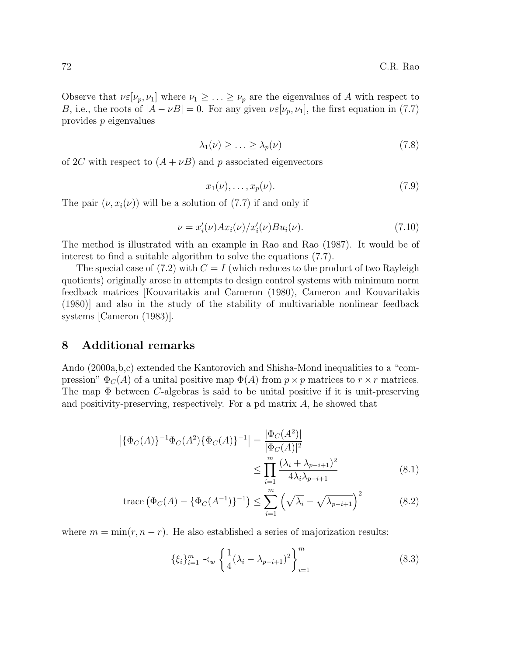Observe that  $\nu \in [\nu_p, \nu_1]$  where  $\nu_1 \geq \ldots \geq \nu_p$  are the eigenvalues of A with respect to B, i.e., the roots of  $|A - \nu B| = 0$ . For any given  $\nu \varepsilon[\nu_p, \nu_1]$ , the first equation in (7.7) provides p eigenvalues

$$
\lambda_1(\nu) \ge \ldots \ge \lambda_p(\nu) \tag{7.8}
$$

of 2C with respect to  $(A + \nu B)$  and p associated eigenvectors

$$
x_1(\nu), \ldots, x_p(\nu). \tag{7.9}
$$

The pair  $(\nu, x_i(\nu))$  will be a solution of (7.7) if and only if

$$
\nu = x_i'(\nu)Ax_i(\nu)/x_i'(\nu)Bu_i(\nu).
$$
 (7.10)

The method is illustrated with an example in Rao and Rao (1987). It would be of interest to find a suitable algorithm to solve the equations (7.7).

The special case of  $(7.2)$  with  $C = I$  (which reduces to the product of two Rayleigh quotients) originally arose in attempts to design control systems with minimum norm feedback matrices [Kouvaritakis and Cameron (1980), Cameron and Kouvaritakis (1980)] and also in the study of the stability of multivariable nonlinear feedback systems [Cameron (1983)].

### 8 Additional remarks

Ando (2000a,b,c) extended the Kantorovich and Shisha-Mond inequalities to a "compression"  $\Phi_C(A)$  of a unital positive map  $\Phi(A)$  from  $p \times p$  matrices to  $r \times r$  matrices. The map  $\Phi$  between *C*-algebras is said to be unital positive if it is unit-preserving and positivity-preserving, respectively. For a pd matrix  $A$ , he showed that

$$
\left| \{\Phi_C(A)\}^{-1} \Phi_C(A^2) \{\Phi_C(A)\}^{-1} \right| = \frac{|\Phi_C(A^2)|}{|\Phi_C(A)|^2}
$$
  

$$
\leq \prod_{i=1}^m \frac{(\lambda_i + \lambda_{p-i+1})^2}{4\lambda_i \lambda_{p-i+1}}
$$
(8.1)

trace 
$$
(\Phi_C(A) - {\Phi_C(A^{-1})}^{-1}) \le \sum_{i=1}^m (\sqrt{\lambda_i} - \sqrt{\lambda_{p-i+1}})^2
$$
 (8.2)

where  $m = \min(r, n - r)$ . He also established a series of majorization results:

$$
\{\xi_i\}_{i=1}^m \prec_w \left\{\frac{1}{4}(\lambda_i - \lambda_{p-i+1})^2\right\}_{i=1}^m
$$
\n(8.3)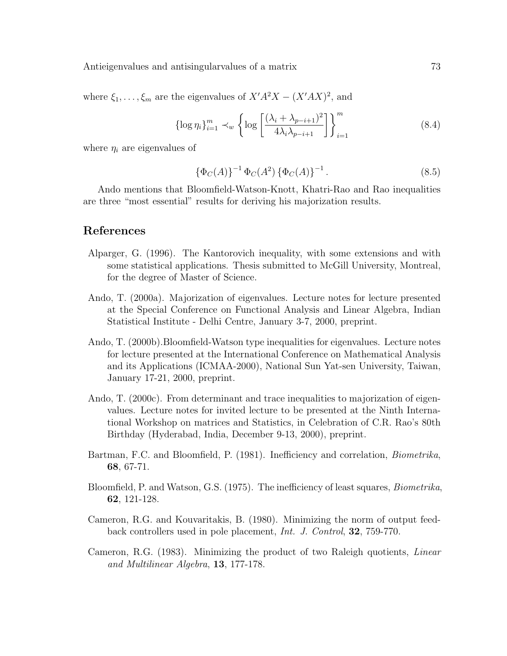Antieigenvalues and antisingularvalues of a matrix  $\frac{73}{2}$ 

where  $\xi_1, \ldots, \xi_m$  are the eigenvalues of  $X'A^2X - (X'AX)^2$ , and

$$
\left\{ \log \eta_i \right\}_{i=1}^m \prec_w \left\{ \log \left[ \frac{(\lambda_i + \lambda_{p-i+1})^2}{4\lambda_i \lambda_{p-i+1}} \right] \right\}_{i=1}^m \tag{8.4}
$$

where  $\eta_i$  are eigenvalues of

$$
\{\Phi_C(A)\}^{-1}\,\Phi_C(A^2)\,\{\Phi_C(A)\}^{-1}.\tag{8.5}
$$

Ando mentions that Bloomfield-Watson-Knott, Khatri-Rao and Rao inequalities are three "most essential" results for deriving his majorization results.

### References

- Alparger, G. (1996). The Kantorovich inequality, with some extensions and with some statistical applications. Thesis submitted to McGill University, Montreal, for the degree of Master of Science.
- Ando, T. (2000a). Majorization of eigenvalues. Lecture notes for lecture presented at the Special Conference on Functional Analysis and Linear Algebra, Indian Statistical Institute - Delhi Centre, January 3-7, 2000, preprint.
- Ando, T. (2000b).Bloomfield-Watson type inequalities for eigenvalues. Lecture notes for lecture presented at the International Conference on Mathematical Analysis and its Applications (ICMAA-2000), National Sun Yat-sen University, Taiwan, January 17-21, 2000, preprint.
- Ando, T. (2000c). From determinant and trace inequalities to majorization of eigenvalues. Lecture notes for invited lecture to be presented at the Ninth International Workshop on matrices and Statistics, in Celebration of C.R. Rao's 80th Birthday (Hyderabad, India, December 9-13, 2000), preprint.
- Bartman, F.C. and Bloomfield, P. (1981). Inefficiency and correlation, Biometrika, 68, 67-71.
- Bloomfield, P. and Watson, G.S. (1975). The inefficiency of least squares, Biometrika, 62, 121-128.
- Cameron, R.G. and Kouvaritakis, B. (1980). Minimizing the norm of output feedback controllers used in pole placement, Int. J. Control, 32, 759-770.
- Cameron, R.G. (1983). Minimizing the product of two Raleigh quotients, Linear and Multilinear Algebra, 13, 177-178.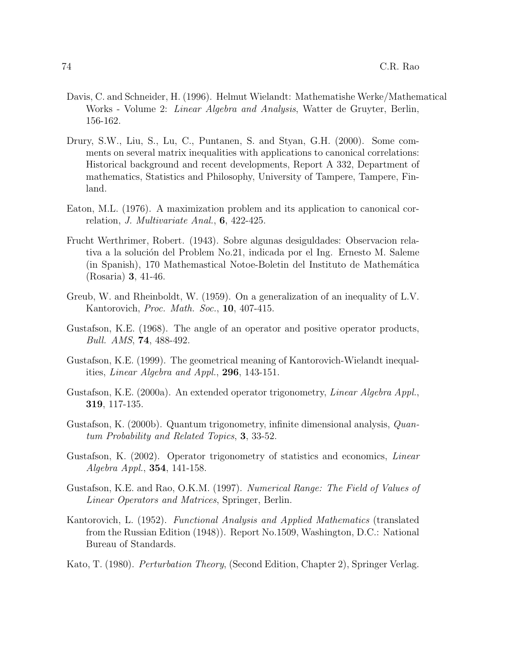- Davis, C. and Schneider, H. (1996). Helmut Wielandt: Mathematishe Werke/Mathematical Works - Volume 2: Linear Algebra and Analysis, Watter de Gruyter, Berlin, 156-162.
- Drury, S.W., Liu, S., Lu, C., Puntanen, S. and Styan, G.H. (2000). Some comments on several matrix inequalities with applications to canonical correlations: Historical background and recent developments, Report A 332, Department of mathematics, Statistics and Philosophy, University of Tampere, Tampere, Finland.
- Eaton, M.L. (1976). A maximization problem and its application to canonical correlation, J. Multivariate Anal., 6, 422-425.
- Frucht Werthrimer, Robert. (1943). Sobre algunas desiguldades: Observacion relativa a la solución del Problem No.21, indicada por el Ing. Ernesto M. Saleme (in Spanish), 170 Mathemastical Notoe-Boletin del Instituto de Mathem´atica (Rosaria) 3, 41-46.
- Greub, W. and Rheinboldt, W. (1959). On a generalization of an inequality of L.V. Kantorovich, *Proc. Math. Soc.*, **10**, 407-415.
- Gustafson, K.E. (1968). The angle of an operator and positive operator products, Bull. AMS, 74, 488-492.
- Gustafson, K.E. (1999). The geometrical meaning of Kantorovich-Wielandt inequalities, Linear Algebra and Appl., 296, 143-151.
- Gustafson, K.E. (2000a). An extended operator trigonometry, Linear Algebra Appl., 319, 117-135.
- Gustafson, K. (2000b). Quantum trigonometry, infinite dimensional analysis, Quantum Probability and Related Topics, 3, 33-52.
- Gustafson, K. (2002). Operator trigonometry of statistics and economics, Linear Algebra Appl., 354, 141-158.
- Gustafson, K.E. and Rao, O.K.M. (1997). Numerical Range: The Field of Values of Linear Operators and Matrices, Springer, Berlin.
- Kantorovich, L. (1952). Functional Analysis and Applied Mathematics (translated from the Russian Edition (1948)). Report No.1509, Washington, D.C.: National Bureau of Standards.
- Kato, T. (1980). Perturbation Theory, (Second Edition, Chapter 2), Springer Verlag.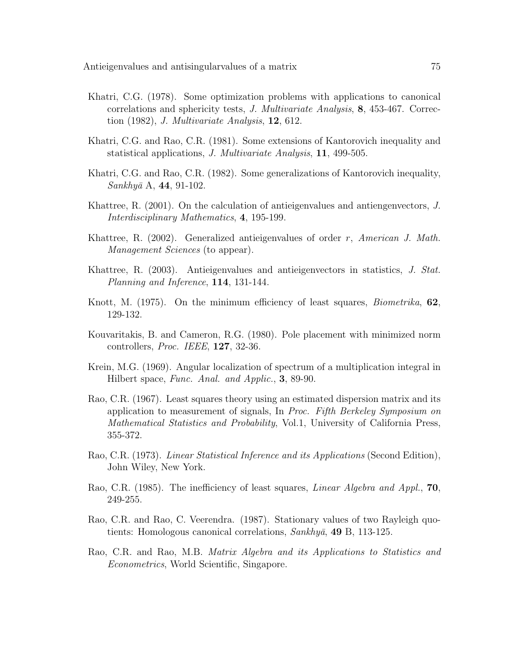- Khatri, C.G. (1978). Some optimization problems with applications to canonical correlations and sphericity tests, J. Multivariate Analysis, 8, 453-467. Correction (1982), J. Multivariate Analysis, 12, 612.
- Khatri, C.G. and Rao, C.R. (1981). Some extensions of Kantorovich inequality and statistical applications, J. Multivariate Analysis, 11, 499-505.
- Khatri, C.G. and Rao, C.R. (1982). Some generalizations of Kantorovich inequality,  $Sankhy\bar{a}$  A, 44, 91-102.
- Khattree, R. (2001). On the calculation of antieigenvalues and antiengenvectors, J. Interdisciplinary Mathematics, 4, 195-199.
- Khattree, R.  $(2002)$ . Generalized antieigenvalues of order r, American J. Math. Management Sciences (to appear).
- Khattree, R. (2003). Antieigenvalues and antieigenvectors in statistics, J. Stat. Planning and Inference, 114, 131-144.
- Knott, M. (1975). On the minimum efficiency of least squares, *Biometrika*, **62**, 129-132.
- Kouvaritakis, B. and Cameron, R.G. (1980). Pole placement with minimized norm controllers, Proc. IEEE, 127, 32-36.
- Krein, M.G. (1969). Angular localization of spectrum of a multiplication integral in Hilbert space, Func. Anal. and Applic., **3**, 89-90.
- Rao, C.R. (1967). Least squares theory using an estimated dispersion matrix and its application to measurement of signals, In Proc. Fifth Berkeley Symposium on Mathematical Statistics and Probability, Vol.1, University of California Press, 355-372.
- Rao, C.R. (1973). Linear Statistical Inference and its Applications (Second Edition), John Wiley, New York.
- Rao, C.R. (1985). The inefficiency of least squares, *Linear Algebra and Appl.*, 70, 249-255.
- Rao, C.R. and Rao, C. Veerendra. (1987). Stationary values of two Rayleigh quotients: Homologous canonical correlations,  $Sankhy\bar{a}$ , 49 B, 113-125.
- Rao, C.R. and Rao, M.B. Matrix Algebra and its Applications to Statistics and Econometrics, World Scientific, Singapore.